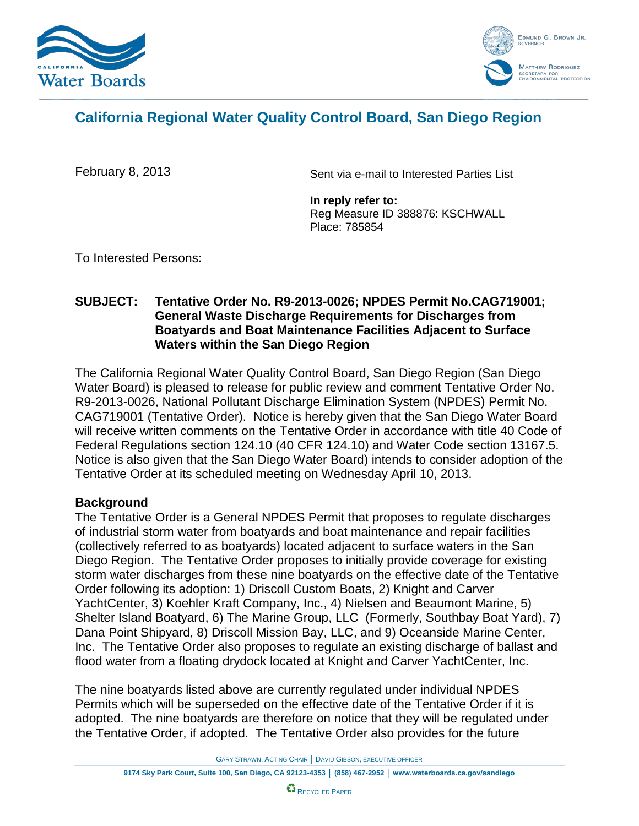



# **California Regional Water Quality Control Board, San Diego Region**

February 8, 2013

Sent via e-mail to Interested Parties List

**In reply refer to:** Reg Measure ID 388876: KSCHWALL Place: 785854

To Interested Persons:

### **SUBJECT: Tentative Order No. R9-2013-0026; NPDES Permit No.CAG719001; General Waste Discharge Requirements for Discharges from Boatyards and Boat Maintenance Facilities Adjacent to Surface Waters within the San Diego Region**

The California Regional Water Quality Control Board, San Diego Region (San Diego Water Board) is pleased to release for public review and comment Tentative Order No. R9-2013-0026, National Pollutant Discharge Elimination System (NPDES) Permit No. CAG719001 (Tentative Order). Notice is hereby given that the San Diego Water Board will receive written comments on the Tentative Order in accordance with title 40 Code of Federal Regulations section 124.10 (40 CFR 124.10) and Water Code section 13167.5. Notice is also given that the San Diego Water Board) intends to consider adoption of the Tentative Order at its scheduled meeting on Wednesday April 10, 2013.

### **Background**

The Tentative Order is a General NPDES Permit that proposes to regulate discharges of industrial storm water from boatyards and boat maintenance and repair facilities (collectively referred to as boatyards) located adjacent to surface waters in the San Diego Region. The Tentative Order proposes to initially provide coverage for existing storm water discharges from these nine boatyards on the effective date of the Tentative Order following its adoption: 1) Driscoll Custom Boats, 2) Knight and Carver YachtCenter, 3) Koehler Kraft Company, Inc., 4) Nielsen and Beaumont Marine, 5) Shelter Island Boatyard, 6) The Marine Group, LLC (Formerly, Southbay Boat Yard), 7) Dana Point Shipyard, 8) Driscoll Mission Bay, LLC, and 9) Oceanside Marine Center, Inc. The Tentative Order also proposes to regulate an existing discharge of ballast and flood water from a floating drydock located at Knight and Carver YachtCenter, Inc.

The nine boatyards listed above are currently regulated under individual NPDES Permits which will be superseded on the effective date of the Tentative Order if it is adopted. The nine boatyards are therefore on notice that they will be regulated under the Tentative Order, if adopted. The Tentative Order also provides for the future

GARY STRAWN, ACTING CHAIR │ DAVID GIBSON, EXECUTIVE OFFICER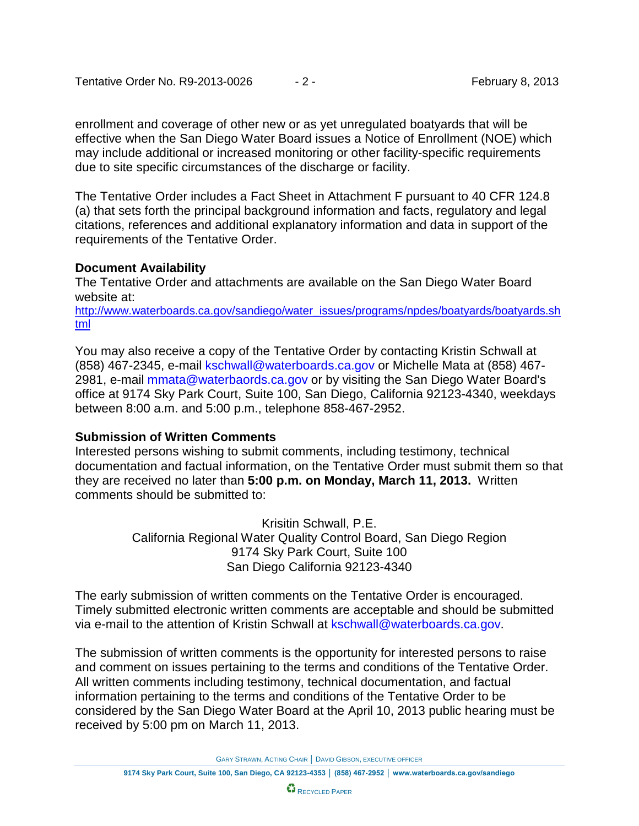enrollment and coverage of other new or as yet unregulated boatyards that will be effective when the San Diego Water Board issues a Notice of Enrollment (NOE) which may include additional or increased monitoring or other facility-specific requirements due to site specific circumstances of the discharge or facility.

The Tentative Order includes a Fact Sheet in Attachment F pursuant to 40 CFR 124.8 (a) that sets forth the principal background information and facts, regulatory and legal citations, references and additional explanatory information and data in support of the requirements of the Tentative Order.

## **Document Availability**

The Tentative Order and attachments are available on the San Diego Water Board website at:

[http://www.waterboards.ca.gov/sandiego/water\\_issues/programs/npdes/boatyards/boatyards.sh](http://www.waterboards.ca.gov/sandiego/water_issues/programs/npdes/boatyards/boatyards.shtml) [tml](http://www.waterboards.ca.gov/sandiego/water_issues/programs/npdes/boatyards/boatyards.shtml)

You may also receive a copy of the Tentative Order by contacting Kristin Schwall at (858) 467-2345, e-mail kschwall@waterboards.ca.gov or Michelle Mata at (858) 467- 2981, e-mail mmata@waterbaords.ca.gov or by visiting the San Diego Water Board's office at 9174 Sky Park Court, Suite 100, San Diego, California 92123-4340, weekdays between 8:00 a.m. and 5:00 p.m., telephone 858-467-2952.

# **Submission of Written Comments**

Interested persons wishing to submit comments, including testimony, technical documentation and factual information, on the Tentative Order must submit them so that they are received no later than **5:00 p.m. on Monday, March 11, 2013.** Written comments should be submitted to:

> Krisitin Schwall, P.E. California Regional Water Quality Control Board, San Diego Region 9174 Sky Park Court, Suite 100 San Diego California 92123-4340

The early submission of written comments on the Tentative Order is encouraged. Timely submitted electronic written comments are acceptable and should be submitted via e-mail to the attention of Kristin Schwall at kschwall@waterboards.ca.gov.

The submission of written comments is the opportunity for interested persons to raise and comment on issues pertaining to the terms and conditions of the Tentative Order. All written comments including testimony, technical documentation, and factual information pertaining to the terms and conditions of the Tentative Order to be considered by the San Diego Water Board at the April 10, 2013 public hearing must be received by 5:00 pm on March 11, 2013.

GARY STRAWN, ACTING CHAIR │ DAVID GIBSON, EXECUTIVE OFFICER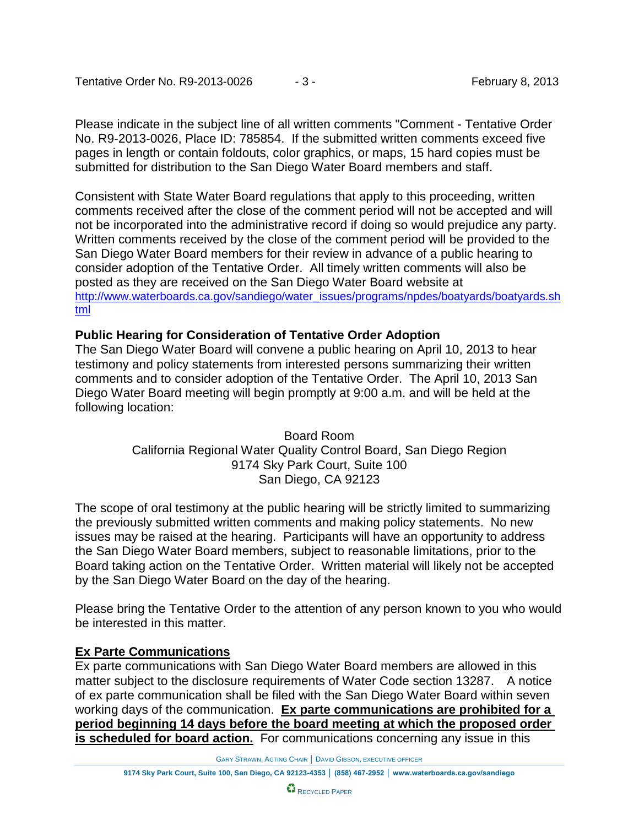Please indicate in the subject line of all written comments "Comment - Tentative Order No. R9-2013-0026, Place ID: 785854. If the submitted written comments exceed five pages in length or contain foldouts, color graphics, or maps, 15 hard copies must be submitted for distribution to the San Diego Water Board members and staff.

Consistent with State Water Board regulations that apply to this proceeding, written comments received after the close of the comment period will not be accepted and will not be incorporated into the administrative record if doing so would prejudice any party. Written comments received by the close of the comment period will be provided to the San Diego Water Board members for their review in advance of a public hearing to consider adoption of the Tentative Order. All timely written comments will also be posted as they are received on the San Diego Water Board website at [http://www.waterboards.ca.gov/sandiego/water\\_issues/programs/npdes/boatyards/boatyards.sh](http://www.waterboards.ca.gov/sandiego/water_issues/programs/npdes/boatyards/boatyards.shtml) [tml](http://www.waterboards.ca.gov/sandiego/water_issues/programs/npdes/boatyards/boatyards.shtml)

# **Public Hearing for Consideration of Tentative Order Adoption**

The San Diego Water Board will convene a public hearing on April 10, 2013 to hear testimony and policy statements from interested persons summarizing their written comments and to consider adoption of the Tentative Order. The April 10, 2013 San Diego Water Board meeting will begin promptly at 9:00 a.m. and will be held at the following location:

> Board Room California Regional Water Quality Control Board, San Diego Region 9174 Sky Park Court, Suite 100 San Diego, CA 92123

The scope of oral testimony at the public hearing will be strictly limited to summarizing the previously submitted written comments and making policy statements. No new issues may be raised at the hearing. Participants will have an opportunity to address the San Diego Water Board members, subject to reasonable limitations, prior to the Board taking action on the Tentative Order. Written material will likely not be accepted by the San Diego Water Board on the day of the hearing.

Please bring the Tentative Order to the attention of any person known to you who would be interested in this matter.

### **Ex Parte Communications**

Ex parte communications with San Diego Water Board members are allowed in this matter subject to the disclosure requirements of Water Code section 13287. A notice of ex parte communication shall be filed with the San Diego Water Board within seven working days of the communication. **Ex parte communications are prohibited for a period beginning 14 days before the board meeting at which the proposed order is scheduled for board action.** For communications concerning any issue in this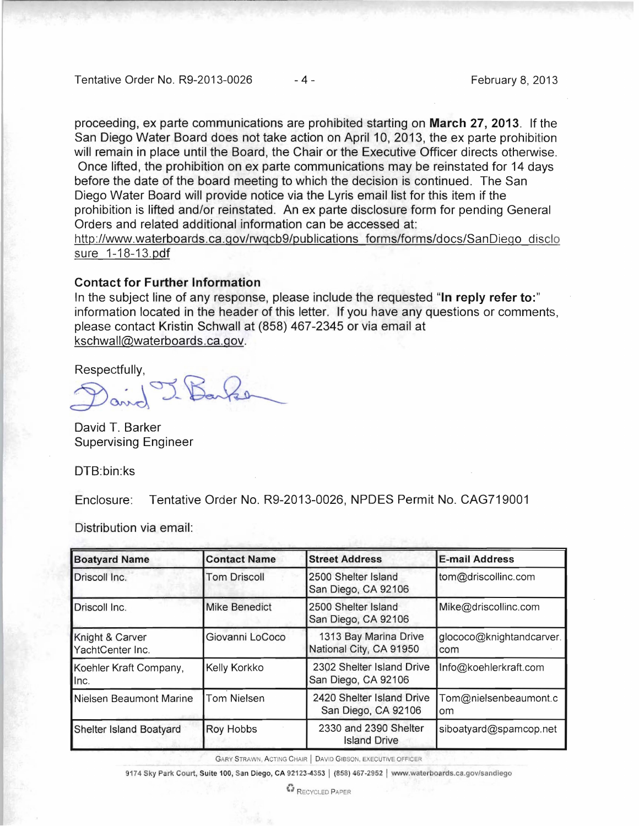Tentative Order No. R9-2013-0026 - 4 - Tentative Order No. 2013

proceeding, ex parte communications are prohibited starting on March 27, 2013. If the San Diego Water Board does not take action on April 10, 2013, the ex parte prohibition will remain in place until the Board, the Chair or the Executive Officer directs otherwise. Once lifted, the prohibition on ex parte communications may be reinstated for 14 days before the date of the board meeting to which the decision is continued. The San Diego Water Board will provide notice via the Lyris email list for this item if the prohibition is lifted and/or reinstated. An ex parte disclosure form for pending General Orders and related additional information can be accessed at:

http://www.waterboards.ca.gov/rwqcb9/publications forms/forms/docs/SanDiego disclo sure 1-18-13.pdf

#### Contact for Further Information

In the subject line of any response, please include the requested "In reply refer to:" information located in the header of this letter. If you have any questions or comments, please contact Kristin Schwall at (858) 467-2345 or via email at kschwall@waterboards.ca.gov.

Respectfully,

David J. Barker

David T. Barker Supervising Engineer

DTB:bin:ks

Enclosure: Tentative Order No. R9-2013-0026, NPDES Permit No. CAG719001

Distribution via email:

| <b>Boatyard Name</b>                | <b>Contact Name</b>  | <b>Street Address</b>                            | <b>E-mail Address</b>           |
|-------------------------------------|----------------------|--------------------------------------------------|---------------------------------|
| Driscoll Inc.                       | <b>Tom Driscoll</b>  | 2500 Shelter Island<br>San Diego, CA 92106       | tom@driscollinc.com             |
| Driscoll Inc.                       | <b>Mike Benedict</b> | 2500 Shelter Island<br>San Diego, CA 92106       | Mike@driscollinc.com            |
| Knight & Carver<br>YachtCenter Inc. | Giovanni LoCoco      | 1313 Bay Marina Drive<br>National City, CA 91950 | glococo@knightandcarver.<br>com |
| Koehler Kraft Company,<br>llnc.     | Kelly Korkko         | 2302 Shelter Island Drive<br>San Diego, CA 92106 | Info@koehlerkraft.com           |
| Nielsen Beaumont Marine             | <b>Tom Nielsen</b>   | 2420 Shelter Island Drive<br>San Diego, CA 92106 | Tom@nielsenbeaumont.c<br>om     |
| Shelter Island Boatyard             | <b>Roy Hobbs</b>     | 2330 and 2390 Shelter<br><b>Island Drive</b>     | siboatyard@spamcop.net          |

GARY STRAWN, ACTING CHAIR | DAVID GIBSON, EXECUTIVE OFFICER

9174 Sky Park Court, Suite 100, San Diego, CA 92123-4353 | (858) 467-2952 | www.waterboards.ca.gov/sandiego